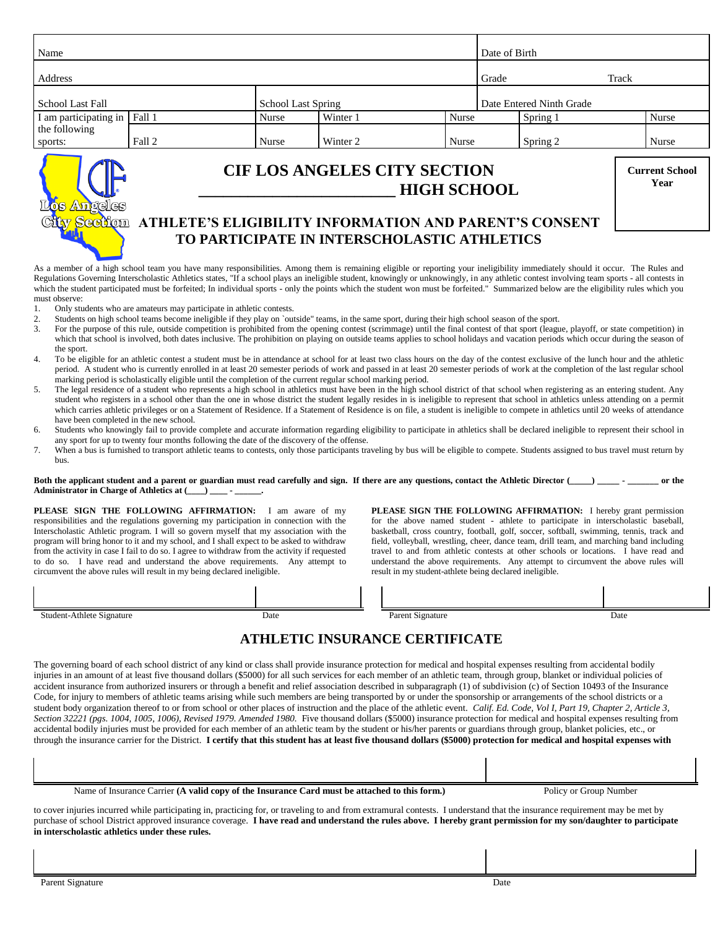| Name                                                                                                                                               |        |                           |          | Date of Birth            |          |       |                               |
|----------------------------------------------------------------------------------------------------------------------------------------------------|--------|---------------------------|----------|--------------------------|----------|-------|-------------------------------|
| Address                                                                                                                                            |        |                           |          |                          | Grade    | Track |                               |
| <b>School Last Fall</b>                                                                                                                            |        | <b>School Last Spring</b> |          | Date Entered Ninth Grade |          |       |                               |
| I am participating in Fall 1                                                                                                                       |        | Nurse                     | Winter 1 | <b>Nurse</b>             | Spring 1 |       | Nurse                         |
| the following<br>sports:                                                                                                                           | Fall 2 | Nurse                     | Winter 2 | Nurse                    | Spring 2 |       | Nurse                         |
| <b>CIF LOS ANGELES CITY SECTION</b><br><b>HIGH SCHOOL</b><br>Angeles<br>v Section<br><b>ATHLETE'S ELIGIBILITY INFORMATION AND PARENT'S CONSENT</b> |        |                           |          |                          |          |       | <b>Current School</b><br>Year |
| TO PARTICIPATE IN INTERSCHOLASTIC ATHLETICS                                                                                                        |        |                           |          |                          |          |       |                               |

As a member of a high school team you have many responsibilities. Among them is remaining eligible or reporting your ineligibility immediately should it occur. The Rules and Regulations Governing Interscholastic Athletics states, "If a school plays an ineligible student, knowingly or unknowingly, in any athletic contest involving team sports - all contests in which the student participated must be forfeited; In individual sports - only the points which the student won must be forfeited." Summarized below are the eligibility rules which you must observe:

- 1. Only students who are amateurs may participate in athletic contests.
- 2. Students on high school teams become ineligible if they play on `outside" teams, in the same sport, during their high school season of the sport.<br>3. For the purpose of this rule, outside competition is prohibited from t
- For the purpose of this rule, outside competition is prohibited from the opening contest (scrimmage) until the final contest of that sport (league, playoff, or state competition) in which that school is involved, both dates inclusive. The prohibition on playing on outside teams applies to school holidays and vacation periods which occur during the season of the sport.
- 4. To be eligible for an athletic contest a student must be in attendance at school for at least two class hours on the day of the contest exclusive of the lunch hour and the athletic period. A student who is currently enrolled in at least 20 semester periods of work and passed in at least 20 semester periods of work at the completion of the last regular school marking period is scholastically eligible until the completion of the current regular school marking period.
- 5. The legal residence of a student who represents a high school in athletics must have been in the high school district of that school when registering as an entering student. Any student who registers in a school other than the one in whose district the student legally resides in is ineligible to represent that school in athletics unless attending on a permit which carries athletic privileges or on a Statement of Residence. If a Statement of Residence is on file, a student is ineligible to compete in athletics until 20 weeks of attendance have been completed in the new school.
- 6. Students who knowingly fail to provide complete and accurate information regarding eligibility to participate in athletics shall be declared ineligible to represent their school in any sport for up to twenty four months following the date of the discovery of the offense.
- 7. When a bus is furnished to transport athletic teams to contests, only those participants traveling by bus will be eligible to compete. Students assigned to bus travel must return by bus.

**Both the applicant student and a parent or guardian must read carefully and sign. If there are any questions, contact the Athletic Director (\_\_\_\_\_) \_\_\_\_\_ - \_\_\_\_\_\_\_ or the Administrator in Charge of Athletics at (\_\_\_\_) \_\_\_\_ - \_\_\_\_\_\_.**

**PLEASE SIGN THE FOLLOWING AFFIRMATION:** I am aware of my responsibilities and the regulations governing my participation in connection with the Interscholastic Athletic program. I will so govern myself that my association with the program will bring honor to it and my school, and I shall expect to be asked to withdraw from the activity in case I fail to do so. I agree to withdraw from the activity if requested to do so. I have read and understand the above requirements. Any attempt to circumvent the above rules will result in my being declared ineligible.

**PLEASE SIGN THE FOLLOWING AFFIRMATION:** I hereby grant permission for the above named student - athlete to participate in interscholastic baseball, basketball, cross country, football, golf, soccer, softball, swimming, tennis, track and field, volleyball, wrestling, cheer, dance team, drill team, and marching band including travel to and from athletic contests at other schools or locations. I have read and understand the above requirements. Any attempt to circumvent the above rules will result in my student-athlete being declared ineligible.

| $\sim$<br>. .<br>natur<br>$\circ$ | Date | aure<br>o | Date |
|-----------------------------------|------|-----------|------|

# **ATHLETIC INSURANCE CERTIFICATE**

The governing board of each school district of any kind or class shall provide insurance protection for medical and hospital expenses resulting from accidental bodily injuries in an amount of at least five thousand dollars (\$5000) for all such services for each member of an athletic team, through group, blanket or individual policies of accident insurance from authorized insurers or through a benefit and relief association described in subparagraph (1) of subdivision (c) of Section 10493 of the Insurance Code, for injury to members of athletic teams arising while such members are being transported by or under the sponsorship or arrangements of the school districts or a student body organization thereof to or from school or other places of instruction and the place of the athletic event. *Calif. Ed. Code, Vol I, Part 19, Chapter 2, Article 3, Section 32221 (pgs. 1004, 1005, 1006), Revised 1979. Amended 1980.* Five thousand dollars (\$5000) insurance protection for medical and hospital expenses resulting from accidental bodily injuries must be provided for each member of an athletic team by the student or his/her parents or guardians through group, blanket policies, etc., or through the insurance carrier for the District. **I certify that this student has at least five thousand dollars (\$5000) protection for medical and hospital expenses with**

Name of Insurance Carrier **(A valid copy of the Insurance Card must be attached to this form.)** Policy or Group Number

to cover injuries incurred while participating in, practicing for, or traveling to and from extramural contests. I understand that the insurance requirement may be met by purchase of school District approved insurance coverage. **I have read and understand the rules above. I hereby grant permission for my son/daughter to participate in interscholastic athletics under these rules.**